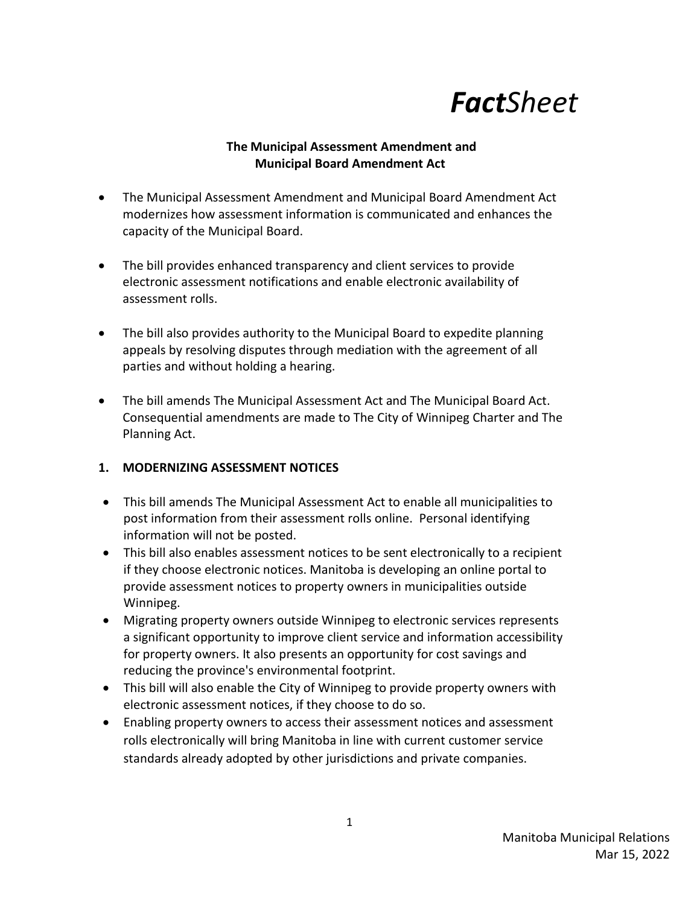# *FactSheet*

## **The Municipal Assessment Amendment and Municipal Board Amendment Act**

- The Municipal Assessment Amendment and Municipal Board Amendment Act modernizes how assessment information is communicated and enhances the capacity of the Municipal Board.
- The bill provides enhanced transparency and client services to provide electronic assessment notifications and enable electronic availability of assessment rolls.
- The bill also provides authority to the Municipal Board to expedite planning appeals by resolving disputes through mediation with the agreement of all parties and without holding a hearing.
- The bill amends The Municipal Assessment Act and The Municipal Board Act. Consequential amendments are made to The City of Winnipeg Charter and The Planning Act.

# **1. MODERNIZING ASSESSMENT NOTICES**

- This bill amends The Municipal Assessment Act to enable all municipalities to post information from their assessment rolls online. Personal identifying information will not be posted.
- This bill also enables assessment notices to be sent electronically to a recipient if they choose electronic notices. Manitoba is developing an online portal to provide assessment notices to property owners in municipalities outside Winnipeg.
- Migrating property owners outside Winnipeg to electronic services represents a significant opportunity to improve client service and information accessibility for property owners. It also presents an opportunity for cost savings and reducing the province's environmental footprint.
- This bill will also enable the City of Winnipeg to provide property owners with electronic assessment notices, if they choose to do so.
- Enabling property owners to access their assessment notices and assessment rolls electronically will bring Manitoba in line with current customer service standards already adopted by other jurisdictions and private companies.